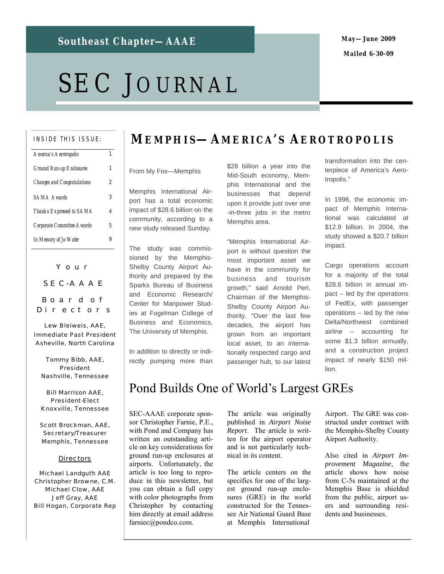### **May—June 2009 Mailed 6-30-09**

# SEC JOURNAL

#### INSIDE THIS ISSUE:

| America's Aerotropolis             |   |
|------------------------------------|---|
| Ground Run-up Endosures            | 1 |
| <b>Changes and Congratulations</b> | 2 |
| <b>SAMA Awards</b>                 | 3 |
| Thanks Expressed to SAMA           | 4 |
| <b>Corporate Committee Awards</b>  | 5 |
| In Memory of Jo Wafer              |   |

Your SEC-AAAE Board of

Directors Lew Bleiweis, AAE,

Immediate Past President Asheville, North Carolina

Tommy Bibb, AAE, President Nashville, Tennessee

Bill Marrison AAE, President-Elect Knoxville, Tennessee

Scott Brockman, AAE, Secretary/Treasurer Memphis, Tennessee

#### **Directors**

Michael Landguth AAE Christopher Browne, C.M. Michael Clow, AAE Jeff Gray, AAE Bill Hogan, Corporate Rep

### **ME M P H I S—A M E R I C A' S A E R O T R O P O L I S**

### From My Fox—Memphis

Memphis International Airport has a total economic impact of \$28.6 billion on the community, according to a new study released Sunday.

The study was commissioned by the Memphis-Shelby County Airport Authority and prepared by the Sparks Bureau of Business and Economic Research/ Center for Manpower Studies at Fogelman College of Business and Economics, The University of Memphis.

In addition to directly or indirectly pumping more than \$28 billion a year into the Mid-South economy, Memphis International and the businesses that depend upon it provide just over one -in-three jobs in the metro Memphis area.

"Memphis International Airport is without question the most important asset we have in the community for business and tourism growth," said Arnold Perl, Chairman of the Memphis-Shelby County Airport Authority. "Over the last few decades, the airport has grown from an important local asset, to an internationally respected cargo and passenger hub, to our latest

transformation into the centerpiece of America's Aerotropolis."

In 1998, the economic impact of Memphis International was calculated at \$12.9 billion. In 2004, the study showed a \$20.7 billion impact.

Cargo operations account for a majority of the total \$28.6 billion in annual impact – led by the operations of FedEx, with passenger operations – led by the new Delta/Northwest combined airline – accounting for some \$1.3 billion annually, and a construction project impact of nearly \$150 million.

Pond Builds One of World's Largest GREs

SEC-AAAE corporate sponsor Christopher Farnie, P.E., with Pond and Company has written an outstanding article on key considerations for ground run-up enclosures at airports. Unfortunately, the article is too long to reproduce in this newsletter, but you can obtain a full copy with color photographs from Christopher by contacting him directly at email address farniec@pondco.com.

The article was originally published in *Airport Noise Report*. The article is written for the airport operator and is not particularly technical in its content.

The article centers on the specifics for one of the largest ground run-up enclosures (GRE) in the world constructed for the Tennessee Air National Guard Base at Memphis International

Airport. The GRE was constructed under contract with the Memphis-Shelby County Airport Authority.

Also cited in *Airport Improvement Magazine*, the article shows how noise from C-5s maintained at the Memphis Base is shielded from the public, airport users and surrounding residents and businesses.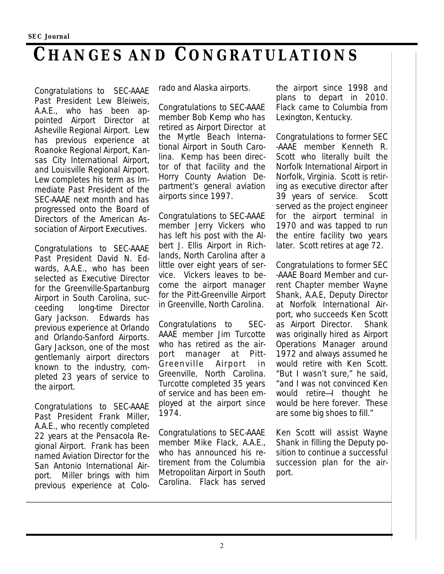## **CHANGES AND CONGRATULATIONS**

Congratulations to SEC-AAAE Past President Lew Bleiweis, A.A.E., who has been appointed Airport Director at Asheville Regional Airport. Lew has previous experience at Roanoke Regional Airport, Kansas City International Airport, and Louisville Regional Airport. Lew completes his term as Immediate Past President of the SEC-AAAE next month and has progressed onto the Board of Directors of the American Association of Airport Executives.

Congratulations to SEC-AAAE Past President David N. Edwards, A.A.E., who has been selected as Executive Director for the Greenville-Spartanburg Airport in South Carolina, succeeding long-time Director Gary Jackson. Edwards has previous experience at Orlando and Orlando-Sanford Airports. Gary Jackson, one of the most gentlemanly airport directors known to the industry, completed 23 years of service to the airport.

Congratulations to SEC-AAAE Past President Frank Miller, A.A.E., who recently completed 22 years at the Pensacola Regional Airport. Frank has been named Aviation Director for the San Antonio International Airport. Miller brings with him previous experience at Colorado and Alaska airports.

Congratulations to SEC-AAAE member Bob Kemp who has retired as Airport Director at the Myrtle Beach International Airport in South Carolina. Kemp has been director of that facility and the Horry County Aviation Department's general aviation airports since 1997.

Congratulations to SEC-AAAE member Jerry Vickers who has left his post with the Albert J. Ellis Airport in Richlands, North Carolina after a little over eight years of service. Vickers leaves to become the airport manager for the Pitt-Greenville Airport in Greenville, North Carolina.

Congratulations to SEC-AAAE member Jim Turcotte who has retired as the airport manager at Pitt-Greenville Airport in Greenville, North Carolina. Turcotte completed 35 years of service and has been employed at the airport since 1974.

Congratulations to SEC-AAAE member Mike Flack, A.A.E., who has announced his retirement from the Columbia Metropolitan Airport in South Carolina. Flack has served

the airport since 1998 and plans to depart in 2010. Flack came to Columbia from Lexington, Kentucky.

Congratulations to former SEC -AAAE member Kenneth R. Scott who literally built the Norfolk International Airport in Norfolk, Virginia. Scott is retiring as executive director after 39 years of service. Scott served as the project engineer for the airport terminal in 1970 and was tapped to run the entire facility two years later. Scott retires at age 72.

Congratulations to former SEC -AAAE Board Member and current Chapter member Wayne Shank, A.A.E, Deputy Director at Norfolk International Airport, who succeeds Ken Scott as Airport Director. Shank was originally hired as Airport Operations Manager around 1972 and always assumed he would retire with Ken Scott. "But I wasn't sure," he said, "and I was not convinced Ken would retire—I thought he would be here forever. These are some big shoes to fill."

Ken Scott will assist Wayne Shank in filling the Deputy position to continue a successful succession plan for the airport.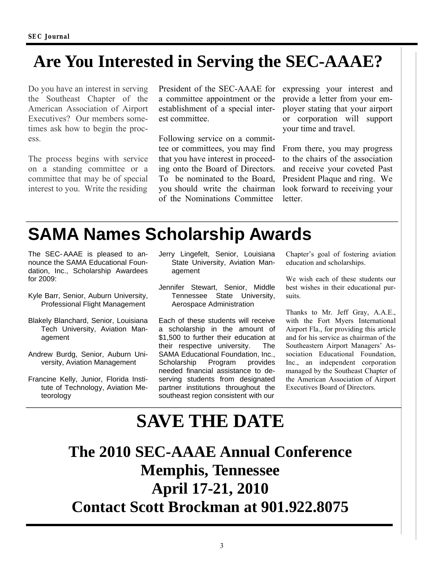## **Are You Interested in Serving the SEC-AAAE?**

Do you have an interest in serving the Southeast Chapter of the American Association of Airport Executives? Our members sometimes ask how to begin the process.

The process begins with service on a standing committee or a committee that may be of special interest to you. Write the residing

President of the SEC-AAAE for a committee appointment or the establishment of a special interest committee.

Following service on a committee or committees, you may find that you have interest in proceeding onto the Board of Directors. To be nominated to the Board, you should write the chairman of the Nominations Committee

expressing your interest and provide a letter from your employer stating that your airport or corporation will support your time and travel.

From there, you may progress to the chairs of the association and receive your coveted Past President Plaque and ring. We look forward to receiving your letter.

## **SAMA Names Scholarship Awards**

The SEC-AAAE is pleased to announce the SAMA Educational Foundation, Inc., Scholarship Awardees for 2009:

- Kyle Barr, Senior, Auburn University, Professional Flight Management
- Blakely Blanchard, Senior, Louisiana Tech University, Aviation Management
- Andrew Burdg, Senior, Auburn University, Aviation Management
- Francine Kelly, Junior, Florida Institute of Technology, Aviation Meteorology
- Jerry Lingefelt, Senior, Louisiana State University, Aviation Management
- Jennifer Stewart, Senior, Middle Tennessee State University, Aerospace Administration

Each of these students will receive a scholarship in the amount of \$1,500 to further their education at their respective university. The SAMA Educational Foundation, Inc., Scholarship Program provides needed financial assistance to deserving students from designated partner institutions throughout the southeast region consistent with our

Chapter's goal of fostering aviation education and scholarships.

We wish each of these students our best wishes in their educational pursuits.

Thanks to Mr. Jeff Gray, A.A.E., with the Fort Myers International Airport Fla., for providing this article and for his service as chairman of the Southeastern Airport Managers' Association Educational Foundation, Inc., an independent corporation managed by the Southeast Chapter of the American Association of Airport Executives Board of Directors.

## **SAVE THE DATE**

**The 2010 SEC-AAAE Annual Conference Memphis, Tennessee April 17-21, 2010 Contact Scott Brockman at 901.922.8075**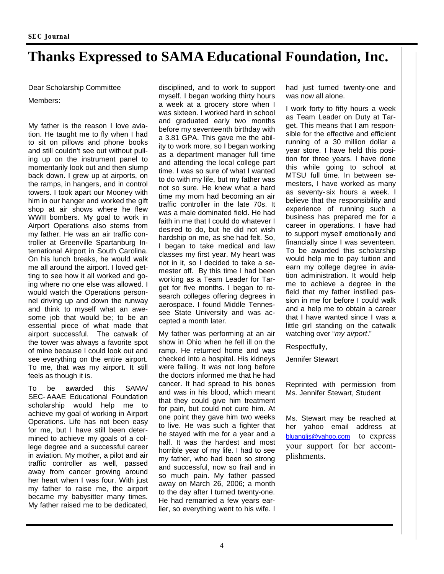## **Thanks Expressed to SAMA Educational Foundation, Inc.**

Dear Scholarship Committee Members:

My father is the reason I love aviation. He taught me to fly when I had to sit on pillows and phone books and still couldn't see out without pulling up on the instrument panel to momentarily look out and then slump back down. I grew up at airports, on the ramps, in hangers, and in control towers. I took apart our Mooney with him in our hanger and worked the gift shop at air shows where he flew WWII bombers. My goal to work in Airport Operations also stems from my father. He was an air traffic controller at Greenville Spartanburg International Airport in South Carolina. On his lunch breaks, he would walk me all around the airport. I loved getting to see how it all worked and going where no one else was allowed. I would watch the Operations personnel driving up and down the runway and think to myself what an awesome job that would be; to be an essential piece of what made that airport successful. The catwalk of the tower was always a favorite spot of mine because I could look out and see everything on the entire airport. To me, that was my airport. It still feels as though it is.

To be awarded this SAMA/ SEC-AAAE Educational Foundation scholarship would help me to achieve my goal of working in Airport Operations. Life has not been easy for me, but I have still been determined to achieve my goals of a college degree and a successful career in aviation. My mother, a pilot and air traffic controller as well, passed away from cancer growing around her heart when I was four. With just my father to raise me, the airport became my babysitter many times. My father raised me to be dedicated,

disciplined, and to work to support myself. I began working thirty hours a week at a grocery store when I was sixteen. I worked hard in school and graduated early two months before my seventeenth birthday with a 3.81 GPA. This gave me the ability to work more, so I began working as a department manager full time and attending the local college part time. I was so sure of what I wanted to do with my life, but my father was not so sure. He knew what a hard time my mom had becoming an air traffic controller in the late 70s. It was a male dominated field. He had faith in me that I could do whatever I desired to do, but he did not wish hardship on me, as she had felt. So, I began to take medical and law classes my first year. My heart was not in it, so I decided to take a semester off. By this time I had been working as a Team Leader for Target for five months. I began to research colleges offering degrees in aerospace. I found Middle Tennessee State University and was accepted a month later.

My father was performing at an air show in Ohio when he fell ill on the ramp. He returned home and was checked into a hospital. His kidneys were failing. It was not long before the doctors informed me that he had cancer. It had spread to his bones and was in his blood, which meant that they could give him treatment for pain, but could not cure him. At one point they gave him two weeks to live. He was such a fighter that he stayed with me for a year and a half. It was the hardest and most horrible year of my life. I had to see my father, who had been so strong and successful, now so frail and in so much pain. My father passed away on March 26, 2006; a month to the day after I turned twenty-one. He had remarried a few years earlier, so everything went to his wife. I

had just turned twenty-one and was now all alone.

I work forty to fifty hours a week as Team Leader on Duty at Target. This means that I am responsible for the effective and efficient running of a 30 million dollar a year store. I have held this position for three years. I have done this while going to school at MTSU full time. In between semesters, I have worked as many as seventy-six hours a week. I believe that the responsibility and experience of running such a business has prepared me for a career in operations. I have had to support myself emotionally and financially since I was seventeen. To be awarded this scholarship would help me to pay tuition and earn my college degree in aviation administration. It would help me to achieve a degree in the field that my father instilled passion in me for before I could walk and a help me to obtain a career that I have wanted since I was a little girl standing on the catwalk watching over "*my airport*."

Respectfully,

Jennifer Stewart

Reprinted with permission from Ms. Jennifer Stewart, Student

Ms. Stewart may be reached at her yahoo email address at bluangljs@yahoo.com to express your support for her accomplishments.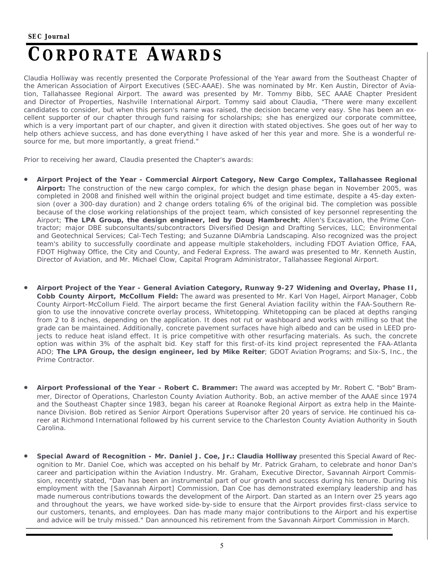## **CORPORATE AWARDS**

Claudia Holliway was recently presented the Corporate Professional of the Year award from the Southeast Chapter of the American Association of Airport Executives (SEC-AAAE). She was nominated by Mr. Ken Austin, Director of Aviation, Tallahassee Regional Airport. The award was presented by Mr. Tommy Bibb, SEC AAAE Chapter President and Director of Properties, Nashville International Airport. Tommy said about Claudia, "There were many excellent candidates to consider, but when this person's name was raised, the decision became very easy. She has been an excellent supporter of our chapter through fund raising for scholarships; she has energized our corporate committee, which is a very important part of our chapter, and given it direction with stated objectives. She goes out of her way to help others achieve success, and has done everything I have asked of her this year and more. She is a wonderful resource for me, but more importantly, a great friend."

Prior to receiving her award, Claudia presented the Chapter's awards:

- **Airport Project of the Year Commercial Airport Category, New Cargo Complex, Tallahassee Regional Airport:** The construction of the new cargo complex, for which the design phase began in November 2005, was completed in 2008 and finished well within the original project budget and time estimate, despite a 45-day extension (over a 300-day duration) and 2 change orders totaling 6% of the original bid. The completion was possible because of the close working relationships of the project team, which consisted of key personnel representing the Airport; **The LPA Group, the design engineer, led by Doug Hambrecht**; Allen's Excavation, the Prime Contractor; major DBE subconsultants/subcontractors Diversified Design and Drafting Services, LLC; Environmental and Geotechnical Services; Cal-Tech Testing; and Suzanne DiAmbria Landscaping. Also recognized was the project team's ability to successfully coordinate and appease multiple stakeholders, including FDOT Aviation Office, FAA, FDOT Highway Office, the City and County, and Federal Express. The award was presented to Mr. Kenneth Austin, Director of Aviation, and Mr. Michael Clow, Capital Program Administrator, Tallahassee Regional Airport.
- **Airport Project of the Year General Aviation Category, Runway 9-27 Widening and Overlay, Phase II, Cobb County Airport, McCollum Field:** The award was presented to Mr. Karl Von Hagel, Airport Manager, Cobb County Airport-McCollum Field. The airport became the first General Aviation facility within the FAA-Southern Region to use the innovative concrete overlay process, Whitetopping. Whitetopping can be placed at depths ranging from 2 to 8 inches, depending on the application. It does not rut or washboard and works with milling so that the grade can be maintained. Additionally, concrete pavement surfaces have high albedo and can be used in LEED projects to reduce heat island effect. It is price competitive with other resurfacing materials. As such, the concrete option was within 3% of the asphalt bid. Key staff for this first-of-its kind project represented the FAA-Atlanta ADO; **The LPA Group, the design engineer, led by Mike Reiter**; GDOT Aviation Programs; and Six-S, Inc., the Prime Contractor.
- **Airport Professional of the Year Robert C. Brammer:** The award was accepted by Mr. Robert C. "Bob" Brammer, Director of Operations, Charleston County Aviation Authority. Bob, an active member of the AAAE since 1974 and the Southeast Chapter since 1983, began his career at Roanoke Regional Airport as extra help in the Maintenance Division. Bob retired as Senior Airport Operations Supervisor after 20 years of service. He continued his career at Richmond International followed by his current service to the Charleston County Aviation Authority in South Carolina.
- **Special Award of Recognition Mr. Daniel J. Coe, Jr.: Claudia Holliway** presented this Special Award of Recognition to Mr. Daniel Coe, which was accepted on his behalf by Mr. Patrick Graham, to celebrate and honor Dan's career and participation within the Aviation Industry. Mr. Graham, Executive Director, Savannah Airport Commission, recently stated, "Dan has been an instrumental part of our growth and success during his tenure. During his employment with the [Savannah Airport] Commission, Dan Coe has demonstrated exemplary leadership and has made numerous contributions towards the development of the Airport. Dan started as an Intern over 25 years ago and throughout the years, we have worked side-by-side to ensure that the Airport provides first-class service to our customers, tenants, and employees. Dan has made many major contributions to the Airport and his expertise and advice will be truly missed." Dan announced his retirement from the Savannah Airport Commission in March.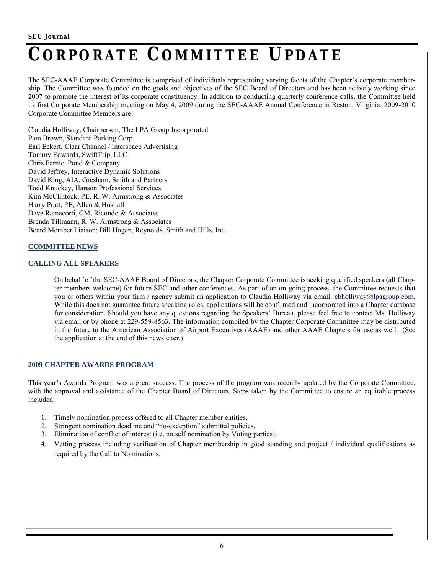## **CORPORATE COMMITTEE UPDATE**

The SEC-AAAE Corporate Committee is comprised of individuals representing varying facets of the Chapter's corporate membership. The Committee was founded on the goals and objectives of the SEC Board of Directors and has been actively working since 2007 to promote the interest of its corporate constituency. In addition to conducting quarterly conference calls, the Committee held its first Corporate Membership meeting on May 4, 2009 during the SEC-AAAE Annual Conference in Reston, Virginia. 2009-2010 Corporate Committee Members are:

Claudia Holliway, Chairperson, The LPA Group Incorporated Pam Brown, Standard Parking Corp. Earl Eckert, Clear Channel / Interspace Advertising Tommy Edwards, SwiftTrip, LLC Chris Farnie, Pond & Company David Jeffrey, Interactive Dynamic Solutions David King, AIA, Gresham, Smith and Partners Todd Knuckey, Hanson Professional Services Kim McClintock, PE, R. W. Armstrong & Associates Harry Pratt, PE, Allen & Hoshall Dave Ramacorti, CM, Ricondo & Associates Brenda Tillmann, R. W. Armstrong & Associates Board Member Liaison: Bill Hogan, Reynolds, Smith and Hills, Inc.

### **COMMITTEE NEWS**

### **CALLING ALL SPEAKERS**

On behalf of the SEC-AAAE Board of Directors, the Chapter Corporate Committee is seeking qualified speakers (all Chapter members welcome) for future SEC and other conferences. As part of an on-going process, the Committee requests that you or others within your firm / agency submit an application to Claudia Holliway via email: cbholliway@lpagroup.com. While this does not guarantee future speaking roles, applications will be confirmed and incorporated into a Chapter database for consideration. Should you have any questions regarding the Speakers' Bureau, please feel free to contact Ms. Holliway via email or by phone at 229-559-8563. The information compiled by the Chapter Corporate Committee may be distributed in the future to the American Association of Airport Executives (AAAE) and other AAAE Chapters for use as well. (See the application at the end of this newsletter.)

### **2009 CHAPTER AWARDS PROGRAM**

This year's Awards Program was a great success. The process of the program was recently updated by the Corporate Committee, with the approval and assistance of the Chapter Board of Directors. Steps taken by the Committee to ensure an equitable process included:

- 1. Timely nomination process offered to all Chapter member entities.
- 2. Stringent nomination deadline and "no-exception" submittal policies.
- 3. Elimination of conflict of interest (i.e. no self nomination by Voting parties).
- 4. Vetting process including verification of Chapter membership in good standing and project / individual qualifications as required by the Call to Nominations.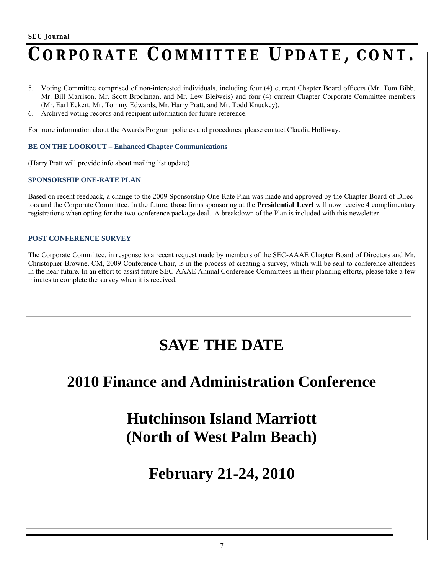## **CORPORATE COMMITTEE UPDATE, CONT.**

- 5. Voting Committee comprised of non-interested individuals, including four (4) current Chapter Board officers (Mr. Tom Bibb, Mr. Bill Marrison, Mr. Scott Brockman, and Mr. Lew Bleiweis) and four (4) current Chapter Corporate Committee members (Mr. Earl Eckert, Mr. Tommy Edwards, Mr. Harry Pratt, and Mr. Todd Knuckey).
- 6. Archived voting records and recipient information for future reference.

For more information about the Awards Program policies and procedures, please contact Claudia Holliway.

### **BE ON THE LOOKOUT – Enhanced Chapter Communications**

(Harry Pratt will provide info about mailing list update)

### **SPONSORSHIP ONE-RATE PLAN**

Based on recent feedback, a change to the 2009 Sponsorship One-Rate Plan was made and approved by the Chapter Board of Directors and the Corporate Committee. In the future, those firms sponsoring at the **Presidential Level** will now receive 4 complimentary registrations when opting for the two-conference package deal. A breakdown of the Plan is included with this newsletter.

### **POST CONFERENCE SURVEY**

The Corporate Committee, in response to a recent request made by members of the SEC-AAAE Chapter Board of Directors and Mr. Christopher Browne, CM, 2009 Conference Chair, is in the process of creating a survey, which will be sent to conference attendees in the near future. In an effort to assist future SEC-AAAE Annual Conference Committees in their planning efforts, please take a few minutes to complete the survey when it is received.

### **SAVE THE DATE**

### **2010 Finance and Administration Conference**

## **Hutchinson Island Marriott (North of West Palm Beach)**

**February 21-24, 2010**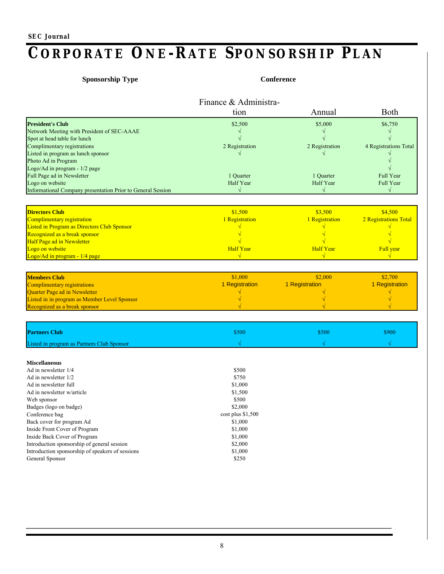## **CORPORATE ONE-RATE SPONSORSHIP PLAN**

### **Sponsorship Type Conference**

|                                                             | Finance & Administra- |                  |                       |
|-------------------------------------------------------------|-----------------------|------------------|-----------------------|
|                                                             | tion                  | Annual           | Both                  |
| <b>President's Club</b>                                     | \$2,500               | \$5,000          | \$6,750               |
| Network Meeting with President of SEC-AAAE                  |                       | $\sqrt{}$        | $\sqrt{}$             |
| Spot at head table for lunch                                |                       |                  |                       |
| Complimentary registrations                                 | 2 Registration        | 2 Registration   | 4 Registrations Total |
| Listed in program as lunch sponsor                          |                       |                  |                       |
| Photo Ad in Program                                         |                       |                  |                       |
| Logo/Ad in program - 1/2 page                               |                       |                  |                       |
| Full Page ad in Newsletter                                  | 1 Quarter             | 1 Quarter        | Full Year             |
| Logo on website                                             | Half Year             | Half Year        | Full Year             |
| Informational Company presentation Prior to General Session | $\sqrt{}$             | $\sqrt{}$        | $\sqrt{}$             |
| <b>Directors Club</b>                                       | \$1,500               | \$3,500          | \$4,500               |
| Complimentary registration                                  |                       |                  | 2 Registrations Total |
| Listed in Program as Directors Club Sponsor                 | 1 Registration        | 1 Registration   |                       |
| Recognized as a break sponsor                               |                       |                  |                       |
| Half Page ad in Newsletter                                  |                       |                  |                       |
| Logo on website                                             | <b>Half Year</b>      | <b>Half Year</b> | Full year             |
| Logo/Ad in program - 1/4 page                               |                       |                  |                       |
|                                                             |                       |                  |                       |
| <b>Members Club</b>                                         | \$1,000               | \$2,000          | \$2,700               |
| Complimentary registrations                                 | 1 Registration        | 1 Registration   | 1 Registration        |
| Quarter Page ad in Newsletter                               |                       |                  |                       |
| Listed in in program as Member Level Sponsor                |                       |                  |                       |
| Recognized as a break sponsor                               |                       |                  |                       |
|                                                             |                       |                  |                       |
| <b>Partners Club</b>                                        | \$500                 | \$500            | \$900                 |
| Listed in program as Partners Club Sponsor                  |                       |                  |                       |
| <b>Miscellaneous</b>                                        |                       |                  |                       |
| Ad in newsletter 1/4                                        | \$500                 |                  |                       |
| Ad in newsletter 1/2                                        | \$750                 |                  |                       |
| Ad in newsletter full                                       | \$1,000               |                  |                       |
| Ad in newsletter w/article                                  | \$1,500               |                  |                       |
| Web sponsor                                                 | \$500                 |                  |                       |
| Badges (logo on badge)                                      | \$2,000               |                  |                       |
| Conference bag                                              | $cost$ plus \$1,500   |                  |                       |
| Back cover for program Ad                                   | \$1,000               |                  |                       |
| Inside Front Cover of Program                               | \$1,000               |                  |                       |
| Inside Back Cover of Program                                | \$1,000               |                  |                       |
| Introduction sponsorship of general session                 | \$2,000               |                  |                       |
| Introduction sponsorship of speakers of sessions            | \$1,000               |                  |                       |
| General Sponsor                                             | \$250                 |                  |                       |
|                                                             |                       |                  |                       |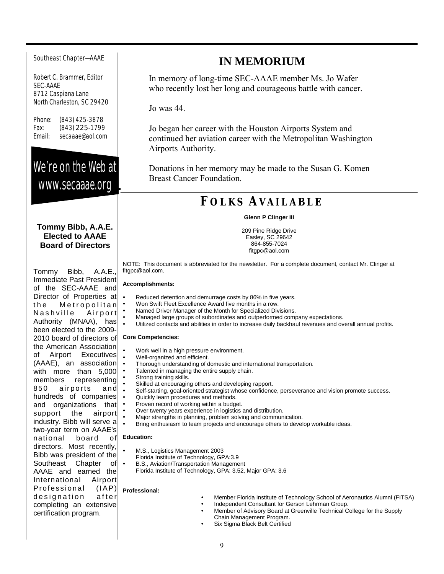#### Southeast Chapter—AAAE

Robert C. Brammer, Editor SEC-AAAE 8712 Caspiana Lane North Charleston, SC 29420

Phone: (843) 425-3878 Fax: (843) 225-1799 Email: secaaae@aol.com

### We're on the Web at www.secaaae.org

### **Tommy Bibb, A.A.E. Elected to AAAE Board of Directors**

Tommy Bibb, A.A.E., Immediate Past President of the SEC-AAAE and Director of Properties at the Metropolitan Nashville Airport Authority (MNAA), has been elected to the 2009- 2010 board of directors of the American Association of Airport Executives (AAAE), an association with more than 5,000 members representing 850 airports and hundreds of companies and organizations that support the airport industry. Bibb will serve a two-year term on AAAE's national board directors. Most recently, Bibb was president of the Southeast Chapter of AAAE and earned the International Airport  $Professional$   $(|AP)|$ designation after completing an extensive certification program.

### **IN MEMORIUM**

In memory of long-time SEC-AAAE member Ms. Jo Wafer who recently lost her long and courageous battle with cancer.

Jo was 44.

Jo began her career with the Houston Airports System and continued her aviation career with the Metropolitan Washington Airports Authority.

Donations in her memory may be made to the Susan G. Komen Breast Cancer Foundation.

### **FO L K S AVA I L A B L E**

#### **Glenn P Clinger III**

209 Pine Ridge Drive Easley, SC 29642 864-855-7024 fitgpc@aol.com

NOTE: This document is abbreviated for the newsletter. For a complete document, contact Mr. Clinger at fitgpc@aol.com.

#### **Accomplishments:**

- Reduced detention and demurrage costs by 86% in five years.
- Won Swift Fleet Excellence Award five months in a row.
- Named Driver Manager of the Month for Specialized Divisions.
- Managed large groups of subordinates and outperformed company expectations.
- Utilized contacts and abilities in order to increase daily backhaul revenues and overall annual profits.

#### **Core Competencies:**

- Work well in a high pressure environment.
- Well-organized and efficient.
- Thorough understanding of domestic and international transportation.
- Talented in managing the entire supply chain.
	- Strong training skills.
- Skilled at encouraging others and developing rapport.
- Self-starting, goal-oriented strategist whose confidence, perseverance and vision promote success.
	- Quickly learn procedures and methods.
	- Proven record of working within a budget.
	- Over twenty years experience in logistics and distribution.
	- Major strengths in planning, problem solving and communication.
	- Bring enthusiasm to team projects and encourage others to develop workable ideas.

### **Education:**

- M.S., Logistics Management 2003
- Florida Institute of Technology, GPA:3.9
- B.S., Aviation/Transportation Management
	- Florida Institute of Technology, GPA: 3.52, Major GPA: 3.6

#### **Professional:**

 Member Florida Institute of Technology School of Aeronautics Alumni (FITSA) Independent Consultant for Gerson Lehrman Group. Member of Advisory Board at Greenville Technical College for the Supply Chain Management Program. Six Sigma Black Belt Certified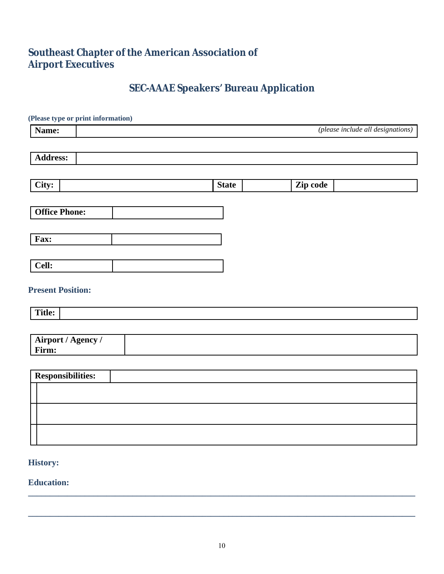### **Southeast Chapter of the American Association of Airport Executives**

### **SEC-AAAE Speakers' Bureau Application**

| (Please type or print information) |                                   |          |  |
|------------------------------------|-----------------------------------|----------|--|
| Name:                              | (please include all designations) |          |  |
|                                    |                                   |          |  |
| <b>Address:</b>                    |                                   |          |  |
|                                    |                                   |          |  |
| City:                              | <b>State</b>                      | Zip code |  |
|                                    |                                   |          |  |
| <b>Office Phone:</b>               |                                   |          |  |
|                                    |                                   |          |  |
| Fax:                               |                                   |          |  |
|                                    |                                   |          |  |
| Cell:                              |                                   |          |  |
|                                    |                                   |          |  |
| <b>Present Position:</b>           |                                   |          |  |
| Title:                             |                                   |          |  |
|                                    |                                   |          |  |
| Airport / Agency /                 |                                   |          |  |
| Firm:                              |                                   |          |  |
|                                    |                                   |          |  |
| <b>Responsibilities:</b>           |                                   |          |  |
|                                    |                                   |          |  |
|                                    |                                   |          |  |
|                                    |                                   |          |  |
|                                    |                                   |          |  |
|                                    |                                   |          |  |

### **History:**

**Education:** 

**\_\_\_\_\_\_\_\_\_\_\_\_\_\_\_\_\_\_\_\_\_\_\_\_\_\_\_\_\_\_\_\_\_\_\_\_\_\_\_\_\_\_\_\_\_\_\_\_\_\_\_\_\_\_\_\_\_\_\_\_\_\_\_\_\_\_\_\_\_\_\_\_\_\_\_\_\_\_\_\_\_\_\_\_\_\_\_\_\_**

**\_\_\_\_\_\_\_\_\_\_\_\_\_\_\_\_\_\_\_\_\_\_\_\_\_\_\_\_\_\_\_\_\_\_\_\_\_\_\_\_\_\_\_\_\_\_\_\_\_\_\_\_\_\_\_\_\_\_\_\_\_\_\_\_\_\_\_\_\_\_\_\_\_\_\_\_\_\_\_\_\_\_\_\_\_\_\_\_\_**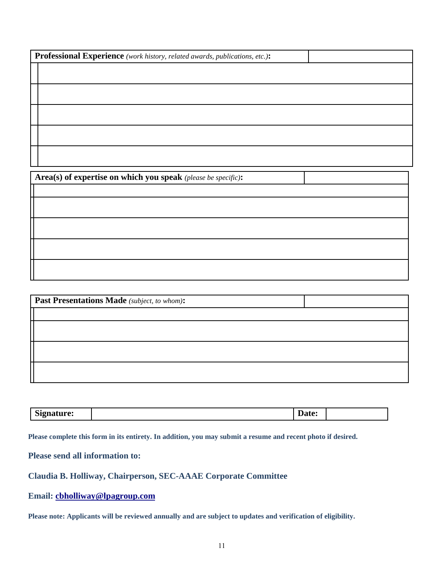| Professional Experience (work history, related awards, publications, etc.): |  |
|-----------------------------------------------------------------------------|--|
|                                                                             |  |
|                                                                             |  |
|                                                                             |  |
|                                                                             |  |
|                                                                             |  |

**Area(s) of expertise on which you speak** *(please be specific)***:**

| Past Presentations Made (subject, to whom): |  |
|---------------------------------------------|--|
|                                             |  |
|                                             |  |
|                                             |  |
|                                             |  |
|                                             |  |
|                                             |  |

| $\sim$<br>Nianatura•<br>nature:<br>ັບ⊾ | Date: |  |
|----------------------------------------|-------|--|

**Please complete this form in its entirety. In addition, you may submit a resume and recent photo if desired.** 

**Please send all information to:**

**Claudia B. Holliway, Chairperson, SEC-AAAE Corporate Committee**

**Email: cbholliway@lpagroup.com**

**Please note: Applicants will be reviewed annually and are subject to updates and verification of eligibility.**